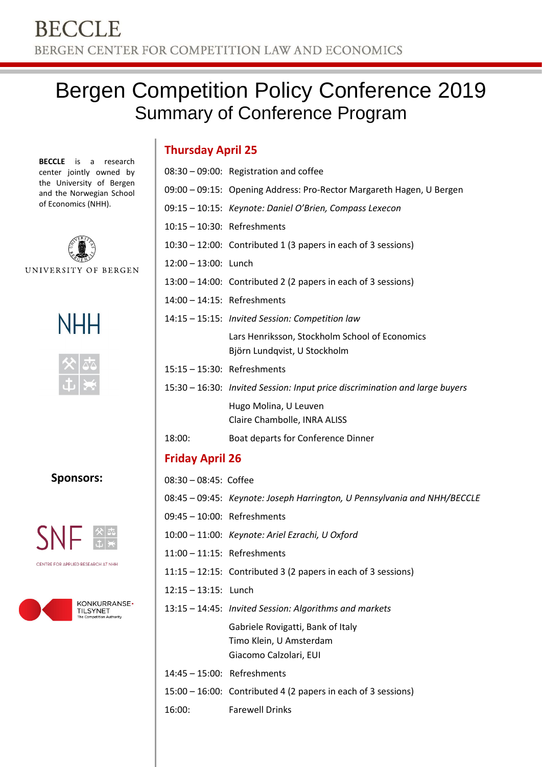# Bergen Competition Policy Conference 2019 Summary of Conference Program

**BECCLE** is a research center jointly owned by the University of Bergen and the Norwegian School of Economics (NHH).



UNIVERSITY OF BERGEN





**Sponsors:**



CENTRE FOR APPLIED RESEARCH AT NHH



| <b>Thursday April 25</b> |
|--------------------------|
|--------------------------|

|                                                                      | 08:30 - 09:00: Registration and coffee                                         |  |  |
|----------------------------------------------------------------------|--------------------------------------------------------------------------------|--|--|
| 09:00 - 09:15: Opening Address: Pro-Rector Margareth Hagen, U Bergen |                                                                                |  |  |
| 09:15 - 10:15: Keynote: Daniel O'Brien, Compass Lexecon              |                                                                                |  |  |
| 10:15 - 10:30: Refreshments                                          |                                                                                |  |  |
| $10:30 - 12:00$ : Contributed 1 (3 papers in each of 3 sessions)     |                                                                                |  |  |
| 12:00 - 13:00: Lunch                                                 |                                                                                |  |  |
|                                                                      | 13:00 - 14:00: Contributed 2 (2 papers in each of 3 sessions)                  |  |  |
| $14:00 - 14:15$ : Refreshments                                       |                                                                                |  |  |
|                                                                      | 14:15 - 15:15: Invited Session: Competition law                                |  |  |
|                                                                      | Lars Henriksson, Stockholm School of Economics<br>Björn Lundqvist, U Stockholm |  |  |
| 15:15 - 15:30: Refreshments                                          |                                                                                |  |  |
|                                                                      | 15:30 – 16:30: Invited Session: Input price discrimination and large buyers    |  |  |
|                                                                      | Hugo Molina, U Leuven<br>Claire Chambolle, INRA ALISS                          |  |  |
| 18:00:                                                               | Boat departs for Conference Dinner                                             |  |  |
| <b>Friday April 26</b>                                               |                                                                                |  |  |
| 08:30 - 08:45: Coffee                                                |                                                                                |  |  |

- 08:45 09:45: *Keynote: Joseph Harrington, U Pennsylvania and NHH/BECCLE*
- 09:45 10:00: Refreshments
- 10:00 11:00: *Keynote: Ariel Ezrachi, U Oxford*
- 11:00 11:15: Refreshments
- 11:15 12:15: Contributed 3 (2 papers in each of 3 sessions)
- 12:15 13:15: Lunch
- 13:15 14:45: *Invited Session: Algorithms and markets* Gabriele Rovigatti, Bank of Italy Timo Klein, U Amsterdam Giacomo Calzolari, EUI
- 14:45 15:00: Refreshments
- 15:00 16:00: Contributed 4 (2 papers in each of 3 sessions)

16:00: Farewell Drinks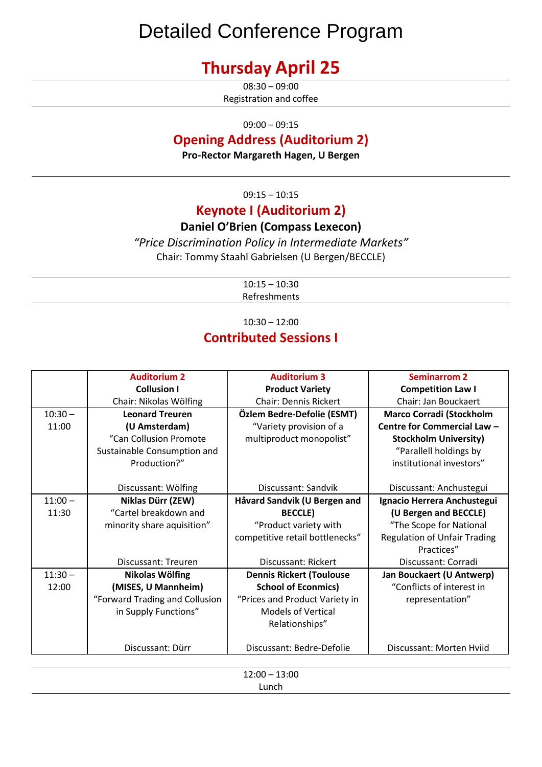# Detailed Conference Program

## **Thursday April 25**

 $08:30 - 09:00$ Registration and coffee

09:00 – 09:15

## **Opening Address (Auditorium 2)**

**Pro-Rector Margareth Hagen, U Bergen**

 $09:15 - 10:15$ 

## **Keynote I (Auditorium 2)**

### **Daniel O'Brien (Compass Lexecon)**

*"Price Discrimination Policy in Intermediate Markets"* Chair: Tommy Staahl Gabrielsen (U Bergen/BECCLE)

> $10:15 - 10:30$ Refreshments

10:30 – 12:00

## **Contributed Sessions I**

|           | <b>Auditorium 2</b>            | <b>Auditorium 3</b>             | <b>Seminarrom 2</b>                 |  |
|-----------|--------------------------------|---------------------------------|-------------------------------------|--|
|           | <b>Collusion I</b>             | <b>Product Variety</b>          | <b>Competition Law I</b>            |  |
|           | Chair: Nikolas Wölfing         | <b>Chair: Dennis Rickert</b>    | Chair: Jan Bouckaert                |  |
| $10:30 -$ | <b>Leonard Treuren</b>         | Özlem Bedre-Defolie (ESMT)      | <b>Marco Corradi (Stockholm</b>     |  |
| 11:00     | (U Amsterdam)                  | "Variety provision of a         | Centre for Commercial Law -         |  |
|           | "Can Collusion Promote         | multiproduct monopolist"        | <b>Stockholm University)</b>        |  |
|           | Sustainable Consumption and    |                                 | "Parallell holdings by              |  |
|           | Production?"                   |                                 | institutional investors"            |  |
|           |                                |                                 |                                     |  |
|           | Discussant: Wölfing            | Discussant: Sandvik             | Discussant: Anchustegui             |  |
| $11:00 -$ | Niklas Dürr (ZEW)              | Håvard Sandvik (U Bergen and    | Ignacio Herrera Anchustegui         |  |
| 11:30     | "Cartel breakdown and          | <b>BECCLE</b> )                 | (U Bergen and BECCLE)               |  |
|           | minority share aquisition"     | "Product variety with           | "The Scope for National             |  |
|           |                                | competitive retail bottlenecks" | <b>Regulation of Unfair Trading</b> |  |
|           |                                |                                 | Practices"                          |  |
|           | Discussant: Treuren            | Discussant: Rickert             | Discussant: Corradi                 |  |
| $11:30 -$ | Nikolas Wölfing                | <b>Dennis Rickert (Toulouse</b> | Jan Bouckaert (U Antwerp)           |  |
| 12:00     | (MISES, U Mannheim)            | <b>School of Econmics)</b>      | "Conflicts of interest in           |  |
|           | "Forward Trading and Collusion | "Prices and Product Variety in  | representation"                     |  |
|           | in Supply Functions"           | <b>Models of Vertical</b>       |                                     |  |
|           |                                | Relationships"                  |                                     |  |
|           |                                |                                 |                                     |  |
|           | Discussant: Dürr               | Discussant: Bedre-Defolie       | Discussant: Morten Hviid            |  |
|           |                                |                                 |                                     |  |
|           | $12:00 - 13:00$                |                                 |                                     |  |

12:00 – 13:00 Lunch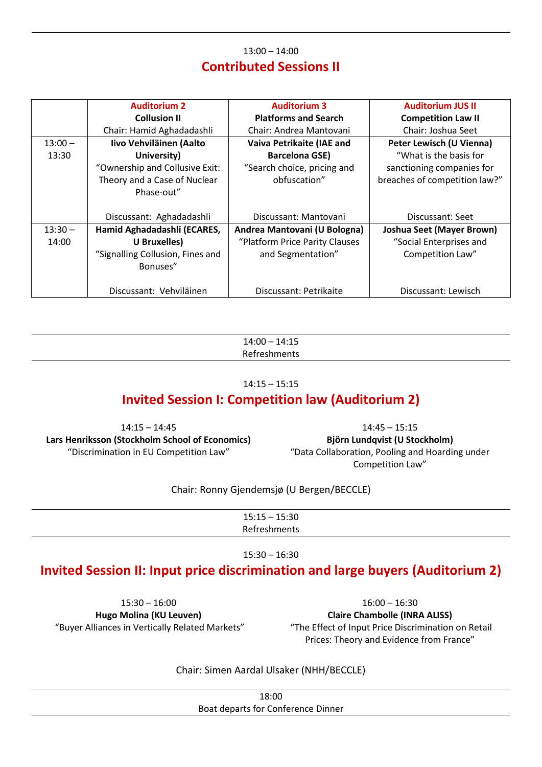## 13:00 – 14:00 **Contributed Sessions II**

|           | <b>Auditorium 2</b>              | <b>Auditorium 3</b>            | <b>Auditorium JUS II</b>         |
|-----------|----------------------------------|--------------------------------|----------------------------------|
|           | <b>Collusion II</b>              | <b>Platforms and Search</b>    | <b>Competition Law II</b>        |
|           | Chair: Hamid Aghadadashli        | Chair: Andrea Mantovani        | Chair: Joshua Seet               |
| $13:00 -$ | Iivo Vehviläinen (Aalto          | Vaiva Petrikaite (IAE and      | Peter Lewisch (U Vienna)         |
| 13:30     | University)                      | <b>Barcelona GSE)</b>          | "What is the basis for           |
|           | "Ownership and Collusive Exit:   | "Search choice, pricing and    | sanctioning companies for        |
|           | Theory and a Case of Nuclear     | obfuscation"                   | breaches of competition law?"    |
|           | Phase-out"                       |                                |                                  |
|           |                                  |                                |                                  |
|           | Discussant: Aghadadashli         | Discussant: Mantovani          | Discussant: Seet                 |
| $13:30 -$ | Hamid Aghadadashli (ECARES,      | Andrea Mantovani (U Bologna)   | <b>Joshua Seet (Mayer Brown)</b> |
| 14:00     | U Bruxelles)                     | "Platform Price Parity Clauses | "Social Enterprises and          |
|           | "Signalling Collusion, Fines and | and Segmentation"              | Competition Law"                 |
|           | Bonuses"                         |                                |                                  |
|           |                                  |                                |                                  |
|           | Discussant: Vehviläinen          | Discussant: Petrikaite         | Discussant: Lewisch              |

14:00 – 14:15 Refreshments

#### 14:15 – 15:15

## **Invited Session I: Competition law (Auditorium 2)**

14:15 – 14:45 **Lars Henriksson (Stockholm School of Economics)** "Discrimination in EU Competition Law"

14:45 – 15:15 **Björn Lundqvist (U Stockholm)** "Data Collaboration, Pooling and Hoarding under Competition Law"

Chair: Ronny Gjendemsjø (U Bergen/BECCLE)

| $15:15 - 15:30$ |  |
|-----------------|--|
| Refreshments    |  |

#### 15:30 – 16:30

## **Invited Session II: Input price discrimination and large buyers (Auditorium 2)**

15:30 – 16:00 **Hugo Molina (KU Leuven)** "Buyer Alliances in Vertically Related Markets"

 $16:00 - 16:30$ **Claire Chambolle (INRA ALISS)** "The Effect of Input Price Discrimination on Retail Prices: Theory and Evidence from France"

Chair: Simen Aardal Ulsaker (NHH/BECCLE)

18:00 Boat departs for Conference Dinner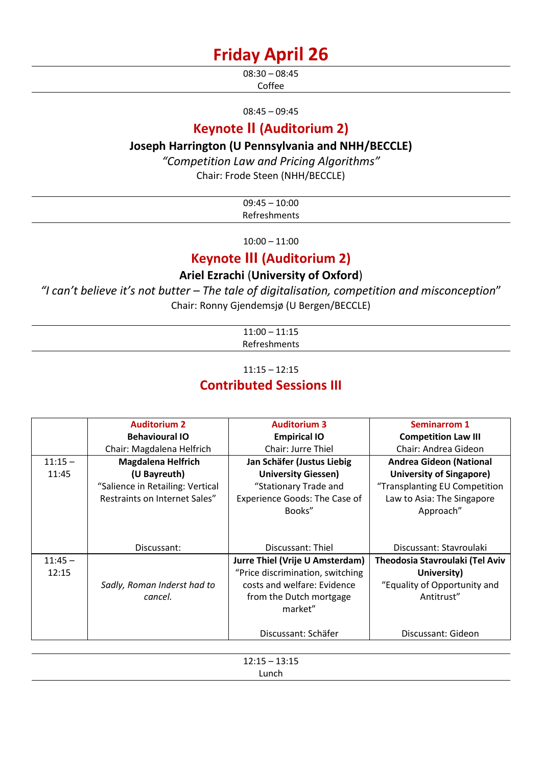## **Friday April 26**

08:30 – 08:45 Coffee

08:45 – 09:45

## **Keynote II (Auditorium 2)**

## **Joseph Harrington (U Pennsylvania and NHH/BECCLE)**

*"Competition Law and Pricing Algorithms"*

Chair: Frode Steen (NHH/BECCLE)

| $09:45 - 10:00$ |  |
|-----------------|--|
| Refreshments    |  |

10:00 – 11:00

## **Keynote III (Auditorium 2)**

## **Ariel Ezrachi** (**University of Oxford**)

*"I can't believe it's not butter – The tale of digitalisation, competition and misconception*" Chair: Ronny Gjendemsjø (U Bergen/BECCLE)

| $11:00 - 11:15$ |  |
|-----------------|--|
| Refreshments    |  |

11:15 – 12:15

## **Contributed Sessions III**

|           | <b>Auditorium 2</b>              | <b>Auditorium 3</b>              | <b>Seminarrom 1</b>             |
|-----------|----------------------------------|----------------------------------|---------------------------------|
|           | <b>Behavioural IO</b>            | <b>Empirical IO</b>              | <b>Competition Law III</b>      |
|           | Chair: Magdalena Helfrich        | Chair: Jurre Thiel               | Chair: Andrea Gideon            |
| $11:15 -$ | <b>Magdalena Helfrich</b>        | Jan Schäfer (Justus Liebig       | <b>Andrea Gideon (National</b>  |
| 11:45     | (U Bayreuth)                     | <b>University Giessen)</b>       | <b>University of Singapore)</b> |
|           | "Salience in Retailing: Vertical | "Stationary Trade and            | "Transplanting EU Competition   |
|           | Restraints on Internet Sales"    | Experience Goods: The Case of    | Law to Asia: The Singapore      |
|           |                                  | Books"                           | Approach"                       |
|           |                                  |                                  |                                 |
|           |                                  |                                  |                                 |
|           | Discussant:                      | Discussant: Thiel                | Discussant: Stavroulaki         |
| $11:45 -$ |                                  | Jurre Thiel (Vrije U Amsterdam)  | Theodosia Stavroulaki (Tel Aviv |
| 12:15     |                                  | "Price discrimination, switching | University)                     |
|           | Sadly, Roman Inderst had to      | costs and welfare: Evidence      | "Equality of Opportunity and    |
|           | cancel.                          | from the Dutch mortgage          | Antitrust"                      |
|           |                                  | market"                          |                                 |
|           |                                  |                                  |                                 |
|           |                                  | Discussant: Schäfer              | Discussant: Gideon              |
|           |                                  |                                  |                                 |

12:15 – 13:15